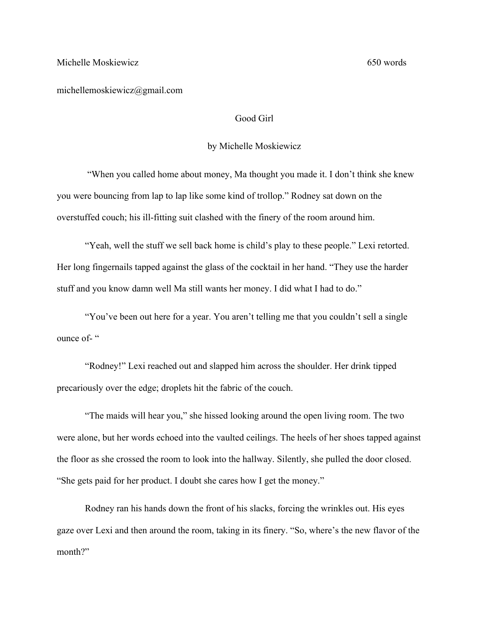michellemoskiewicz@gmail.com

## Good Girl

## by Michelle Moskiewicz

"When you called home about money, Ma thought you made it. I don't think she knew you were bouncing from lap to lap like some kind of trollop." Rodney sat down on the overstuffed couch; his ill-fitting suit clashed with the finery of the room around him.

"Yeah, well the stuff we sell back home is child's play to these people." Lexi retorted. Her long fingernails tapped against the glass of the cocktail in her hand. "They use the harder stuff and you know damn well Ma still wants her money. I did what I had to do."

"You've been out here for a year. You aren't telling me that you couldn't sell a single ounce of-"

"Rodney!" Lexi reached out and slapped him across the shoulder. Her drink tipped precariously over the edge; droplets hit the fabric of the couch.

"The maids will hear you," she hissed looking around the open living room. The two were alone, but her words echoed into the vaulted ceilings. The heels of her shoes tapped against the floor as she crossed the room to look into the hallway. Silently, she pulled the door closed. "She gets paid for her product. I doubt she cares how I get the money."

Rodney ran his hands down the front of his slacks, forcing the wrinkles out. His eyes gaze over Lexi and then around the room, taking in its finery. "So, where's the new flavor of the month?"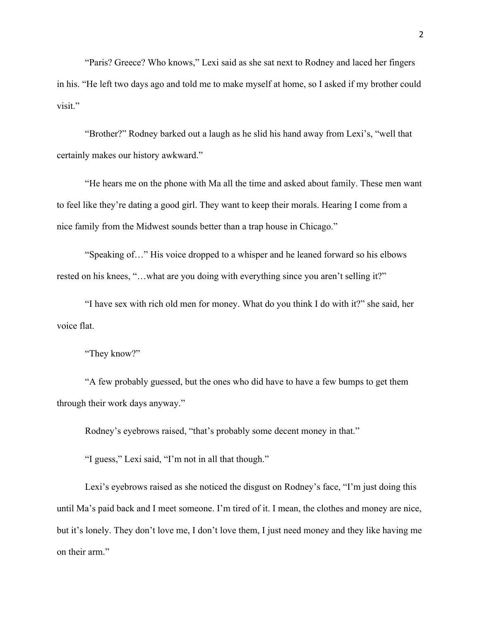"Paris? Greece? Who knows," Lexi said as she sat next to Rodney and laced her fingers in his. "He left two days ago and told me to make myself at home, so I asked if my brother could visit."

"Brother?" Rodney barked out a laugh as he slid his hand away from Lexi's, "well that certainly makes our history awkward."

"He hears me on the phone with Ma all the time and asked about family. These men want to feel like they're dating a good girl. They want to keep their morals. Hearing I come from a nice family from the Midwest sounds better than a trap house in Chicago."

"Speaking of…" His voice dropped to a whisper and he leaned forward so his elbows rested on his knees, "…what are you doing with everything since you aren't selling it?"

"I have sex with rich old men for money. What do you think I do with it?" she said, her voice flat.

"They know?"

"A few probably guessed, but the ones who did have to have a few bumps to get them through their work days anyway."

Rodney's eyebrows raised, "that's probably some decent money in that."

"I guess," Lexi said, "I'm not in all that though."

Lexi's eyebrows raised as she noticed the disgust on Rodney's face, "I'm just doing this until Ma's paid back and I meet someone. I'm tired of it. I mean, the clothes and money are nice, but it's lonely. They don't love me, I don't love them, I just need money and they like having me on their arm."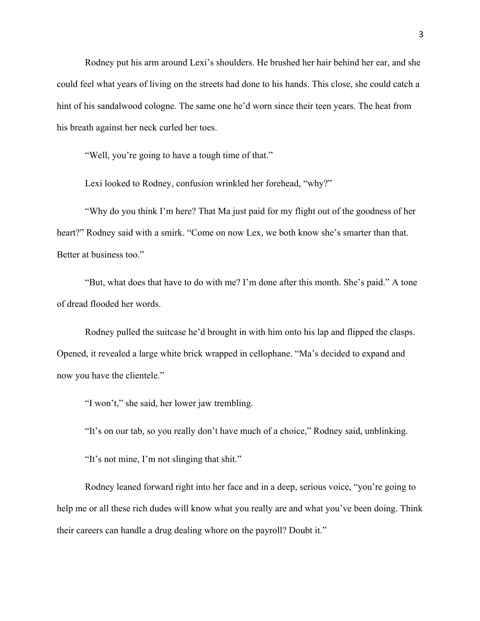Rodney put his arm around Lexi's shoulders. He brushed her hair behind her ear, and she could feel what years of living on the streets had done to his hands. This close, she could catch a hint of his sandalwood cologne. The same one he'd worn since their teen years. The heat from his breath against her neck curled her toes.

"Well, you're going to have a tough time of that."

Lexi looked to Rodney, confusion wrinkled her forehead, "why?"

"Why do you think I'm here? That Ma just paid for my flight out of the goodness of her heart?" Rodney said with a smirk. "Come on now Lex, we both know she's smarter than that. Better at business too."

"But, what does that have to do with me? I'm done after this month. She's paid." A tone of dread flooded her words.

Rodney pulled the suitcase he'd brought in with him onto his lap and flipped the clasps. Opened, it revealed a large white brick wrapped in cellophane. "Ma's decided to expand and now you have the clientele."

"I won't," she said, her lower jaw trembling.

"It's on our tab, so you really don't have much of a choice," Rodney said, unblinking.

"It's not mine, I'm not slinging that shit."

Rodney leaned forward right into her face and in a deep, serious voice, "you're going to help me or all these rich dudes will know what you really are and what you've been doing. Think their careers can handle a drug dealing whore on the payroll? Doubt it."